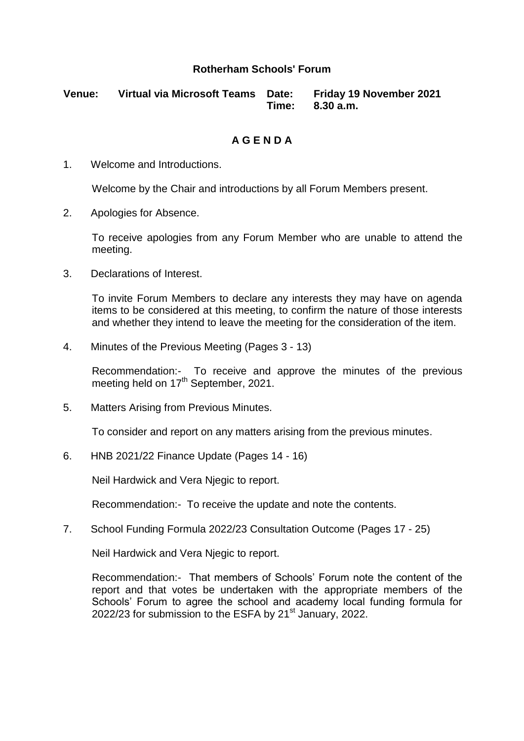## **Rotherham Schools' Forum**

**Venue: Virtual via Microsoft Teams Date: Friday 19 November 2021 Time: 8.30 a.m.**

## **A G E N D A**

1. Welcome and Introductions.

Welcome by the Chair and introductions by all Forum Members present.

2. Apologies for Absence.

To receive apologies from any Forum Member who are unable to attend the meeting.

3. Declarations of Interest.

To invite Forum Members to declare any interests they may have on agenda items to be considered at this meeting, to confirm the nature of those interests and whether they intend to leave the meeting for the consideration of the item.

4. Minutes of the Previous Meeting (Pages 3 - 13)

Recommendation:- To receive and approve the minutes of the previous meeting held on 17<sup>th</sup> September, 2021.

5. Matters Arising from Previous Minutes.

To consider and report on any matters arising from the previous minutes.

6. HNB 2021/22 Finance Update (Pages 14 - 16)

Neil Hardwick and Vera Njegic to report.

Recommendation:- To receive the update and note the contents.

7. School Funding Formula 2022/23 Consultation Outcome (Pages 17 - 25)

Neil Hardwick and Vera Njegic to report.

Recommendation:- That members of Schools' Forum note the content of the report and that votes be undertaken with the appropriate members of the Schools' Forum to agree the school and academy local funding formula for 2022/23 for submission to the ESFA by  $21<sup>st</sup>$  January, 2022.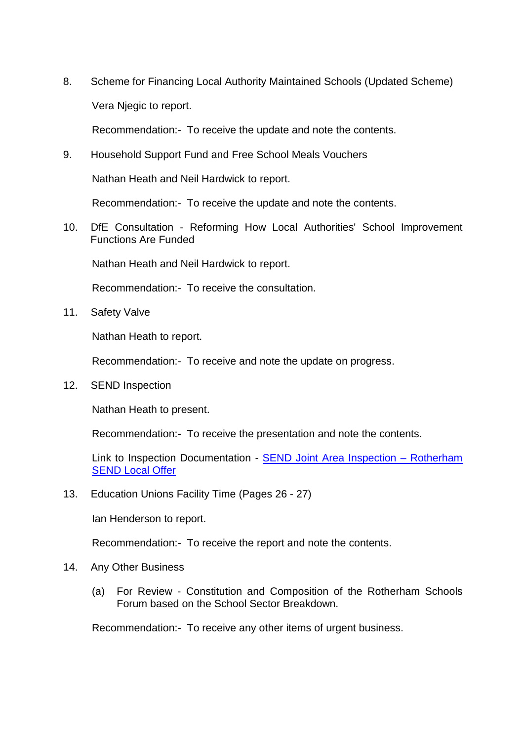8. Scheme for Financing Local Authority Maintained Schools (Updated Scheme) Vera Njegic to report.

Recommendation:- To receive the update and note the contents.

9. Household Support Fund and Free School Meals Vouchers

Nathan Heath and Neil Hardwick to report.

Recommendation:- To receive the update and note the contents.

10. DfE Consultation - Reforming How Local Authorities' School Improvement Functions Are Funded

Nathan Heath and Neil Hardwick to report.

Recommendation:- To receive the consultation.

11. Safety Valve

Nathan Heath to report.

Recommendation:- To receive and note the update on progress.

12. SEND Inspection

Nathan Heath to present.

Recommendation:- To receive the presentation and note the contents.

Link to Inspection Documentation - [SEND Joint Area Inspection –](https://eur02.safelinks.protection.outlook.com/?url=http%3A%2F%2Fwww.rotherhamsendlocaloffer.org.uk%2Fhomepage%2F61%2Fsend-joint-area-inspection&data=04%7C01%7CDebbie.Pons%40rotherham.gov.uk%7C06088a9bc79c4f99b8f908d9a604bc8f%7C46fbe6fd78ae47699c1dbcea97378af6%7C0%7C0%7C637723361533877744%7CUnknown%7CTWFpbGZsb3d8eyJWIjoiMC4wLjAwMDAiLCJQIjoiV2luMzIiLCJBTiI6Ik1haWwiLCJXVCI6Mn0%3D%7C1000&sdata=%2FNLFCq%2FXG1GljuldR9%2BrkFpfdWZstH373QKKWUTrU7Y%3D&reserved=0) Rotherham [SEND Local Offer](https://eur02.safelinks.protection.outlook.com/?url=http%3A%2F%2Fwww.rotherhamsendlocaloffer.org.uk%2Fhomepage%2F61%2Fsend-joint-area-inspection&data=04%7C01%7CDebbie.Pons%40rotherham.gov.uk%7C06088a9bc79c4f99b8f908d9a604bc8f%7C46fbe6fd78ae47699c1dbcea97378af6%7C0%7C0%7C637723361533877744%7CUnknown%7CTWFpbGZsb3d8eyJWIjoiMC4wLjAwMDAiLCJQIjoiV2luMzIiLCJBTiI6Ik1haWwiLCJXVCI6Mn0%3D%7C1000&sdata=%2FNLFCq%2FXG1GljuldR9%2BrkFpfdWZstH373QKKWUTrU7Y%3D&reserved=0)

13. Education Unions Facility Time (Pages 26 - 27)

Ian Henderson to report.

Recommendation:- To receive the report and note the contents.

## 14. Any Other Business

(a) For Review - Constitution and Composition of the Rotherham Schools Forum based on the School Sector Breakdown.

Recommendation:- To receive any other items of urgent business.